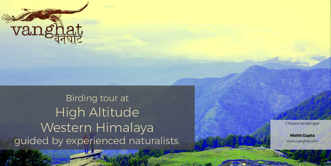

Birding tour at High Altitude Western Himalaya guided by experienced naturalists.

www.wanghat.com

Chopta landscape

**Nishit Gupta** www.vanghat.com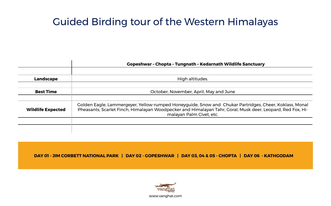# Guided Birding tour of the Western Himalayas

|                          | <b>Gopeshwar - Chopta - Tungnath - Kedarnath Wildlife Sanctuary</b>                                                                                                                                                                              |
|--------------------------|--------------------------------------------------------------------------------------------------------------------------------------------------------------------------------------------------------------------------------------------------|
|                          |                                                                                                                                                                                                                                                  |
| <b>Landscape</b>         | High altitudes.                                                                                                                                                                                                                                  |
| <b>Best Time</b>         | October, November, April, May and June                                                                                                                                                                                                           |
|                          |                                                                                                                                                                                                                                                  |
| <b>Wildlife Expected</b> | Golden Eagle, Lammergeyer, Yellow-rumped Honeyguide, Snow and Chukar Partridges, Cheer, Koklass, Monal<br>Pheasants, Scarlet Finch, Himalayan Woodpecker and Himalayan Tahr, Goral, Musk deer, Leopard, Red Fox, Hi-<br>malayan Palm Civet, etc. |
|                          |                                                                                                                                                                                                                                                  |
|                          |                                                                                                                                                                                                                                                  |

**DAY 01 - JIM CORBETT NATIONAL PARK | DAY 02 - GOPESHWAR | DAY 03, 04 & 05 - CHOPTA | DAY 06 - KATHGODAM**

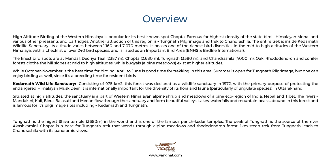## **Overview**

High Altitude Birding of the Western Himalaya is popular for its best known spot Chopta. Famous for highest density of the state bird – Himalayan Monal and various other pheasants and partridges. Another attraction of this region is – Tungnath Pilgrimage and trek to Chandrashila. The entire trek is inside Kedarnath Wildlife Sanctuary. Its altitude varies between 1,160 and 7,070 metres. It boasts one of the richest bird diversities in the mid to high altitudes of the Western Himalaya, with a checklist of over 240 bird species, and is listed as an Important Bird Area (BNHS & Birdlife International).

The finest bird spots are at Mandal, Deoriya Taal (2387 m), Chopta (2,680 m), Tungnath (3580 m), and Chandrashila (4000 m). Oak, Rhododendron and conifer forests clothe the hill slopes at mid to high altitudes, while bugyals (alpine meadows) exist at higher altitudes.

While October-November is the best time for birding, April to June is good time for trekking in this area. Summer is open for Tungnath Pilgrimage, but one can enjoy birding as well, since it's a breeding time for resident birds.

**Kedarnath Wild Life Sanctuary:**- Consisting of 975 km2, this forest was declared as a wildlife sanctuary in 1972, with the primary purpose of protecting the endangered Himalayan Musk Deer. It is internationally important for the diversity of its flora and fauna (particularly of ungulate species) in Uttarakhand.

Situated at high altitudes, the sanctuary is a part of Western Himalayan alpine shrub and meadows of alpine eco-region of India, Nepal and Tibet. The rivers – Mandakini, Kali, Biera, Balasuti and Menan flow through the sanctuary and form beautiful valleys. Lakes, waterfalls and mountain peaks abound in this forest and is famous for it's pilgrimage sites including – Kedarnath and Tungnath.

Tungnath is the higest Shiva temple (3680m) in the world and is one of the famous panch-kedar temples. The peak of Tungnath is the source of the river Akashkamini. Chopta is a base for Tungnath trek that wends through alpine meadows and rhododendron forest. 1km steep trek from Tungnath leads to Chandrashila with its panoramic views.

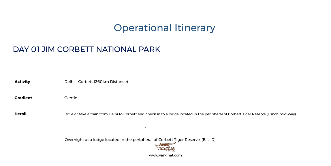## Operational Itinerary

### DAY 01 JIM CORBETT NATIONAL PARK

Activity **Delhi** – Corbett (260km Distance)

Gradient **Gentle** 

**Detail** Drive or take a train from Delhi to Corbett and check in to a lodge located in the peripheral of Corbett Tiger Reserve (Lunch mid-way)

Overnight at a lodge located in the peripheral of Corbett Tiger Reserve. (B, L, D)

-

www.vanghat.com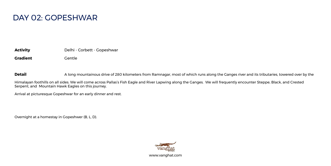### DAY 02: GOPESHWAR

**Activity** Delhi - Corbett - Gopeshwar

**Gradient** Gentle

**Detail** A long mountainous drive of 280 kilometers from Ramnagar, most of which runs along the Ganges river and its tributaries, towered over by the

Himalayan foothills on all sides. We will come across Pallas's Fish Eagle and River Lapwing along the Ganges. We will frequently encounter Steppe, Black, and Crested Serpent, and Mountain Hawk Eagles on this journey.

Arrival at picturesque Gopeshwar for an early dinner and rest.

Overnight at a homestay in Gopeshwer (B, L, D).

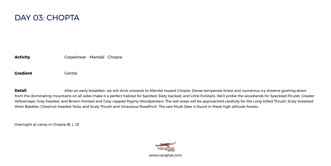

**Activity Gopeshwar - Mandal - Chopta** 

**Gradient** Gentle

**Detail** After an early breakfast, we will drive onwards to Mandal toward Chopta. Dense temperate forest and numerous icy streams gushing down from the dominating mountains on all sides make it a perfect habitat for Spotted, Slaty-backed, and Little Forktails. We'll probe the woodlands for Speckled Piculet, Greater Yellownape, Grey-headed, and Brown-fronted and Grey-capped Pygmy Woodpeckers. The wet areas will be approached carefully for the Long-billed Thrush, Scaly-breasted Wren Babbler, Chestnut-headed Tesia, and Scaly Thrush and Vinaceous Rosefinch. The rare Musk Deer is found in these high altitude forests.

Overnight at camp in Chopta (B, L, D)

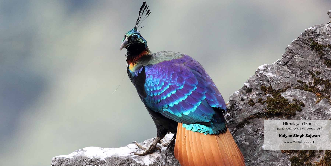Himalayan Monal *(Lophophorus impejanus)*

**Kalyan Singh Sajwan**  www.vanghat.com

www.wanghat.com

3.75

The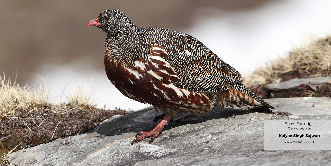Snow Partridge *(Lerwa lerwa)*

**Kalyan Singh Sajwan**  www.vanghat.com

www.vanghat.com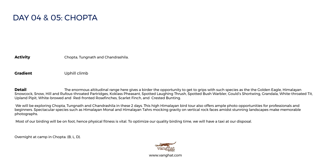### DAY 04 & 05: CHOPTA

**Activity** Chopta, Tungnath and Chandrashila.

**Gradient** Uphill climb

**Detail** The enormous altitudinal range here gives a birder the opportunity to get to grips with such species as the the Golden Eagle, Himalayan Snowcock, Snow, Hill and Rufous-throated Partridges, Koklass Pheasant, Spotted Laughing Thrush, Spotted Bush Warbler, Gould's Shortwing, Grandala, White-throated Tit, Upland Pipit, White-browed and Red-fronted Rosefinches, Scarlet Finch, and Crested Bunting.

 We will be exploring Chopta, Tungnath and Chandrashila in these 2 days. This high Himalayan bird tour also offers ample photo opportunities for professionals and beginners. Spectacular species such as Himalayan Monal and Himalayan Tahrs mocking gravity on vertical rock faces amidst stunning landscapes make memorable photographs.

Most of our birding will be on foot, hence physical fitness is vital. To optimize our quality birding time, we will have a taxi at our disposal.

Overnight at camp in Chopta. (B, L, D).

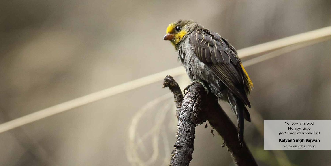Yellow-rumped Honeyguide *(Indicator xanthonotus)*

**Kalyan Singh Sajwan**  www.vanghat.com

ww.wanghat.com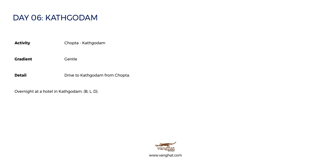### DAY 06: KATHGODAM

**Activity** Chopta - Kathgodam

**Gradient** Gentle

**Detail** Drive to Kathgodam from Chopta.

Overnight at a hotel in Kathgodam. (B, L, D).

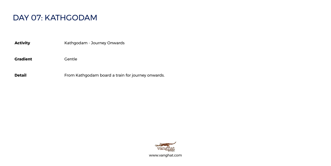### DAY 07: KATHGODAM

Activity **Activity** Kathgodam - Journey Onwards

Gradient **Gentle** 

**Detail Detail** From Kathgodam board a train for journey onwards.

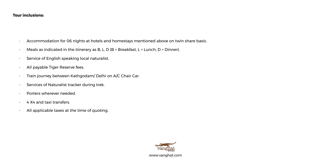#### **Tour inclusions:**

- Accommodation for 06 nights at hotels and homestays mentioned above on twin share basis.
- Meals as indicated in the itinerary as B, L, D (B = Breakfast, L = Lunch, D = Dinner).
- Service of English speaking local naturalist.
- All payable Tiger Reserve fees.
- Train journey between Kathgodam/ Delhi on A/C Chair Car.
- Services of Naturalist tracker during trek.
- Porters wherever needed.
- 4 X4 and taxi transfers.
- All applicable taxes at the time of quoting.

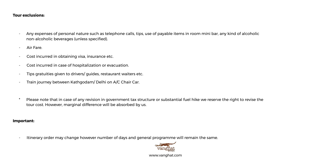#### **Tour exclusions:**

- Any expenses of personal nature such as telephone calls, tips, use of payable items in room mini bar, any kind of alcoholic non-alcoholic beverages (unless specified).
- Air Fare.
- Cost incurred in obtaining visa, insurance etc.
- Cost incurred in case of hospitalization or evacuation.
- Tips gratuities given to drivers/ guides, restaurant waiters etc.
- Train journey between Kathgodam/ Delhi on A/C Chair Car.
- \* Please note that in case of any revision in government tax structure or substantial fuel hike we reserve the right to revise the tour cost. However, marginal difference will be absorbed by us.

#### **Important:**

- Itinerary order may change however number of days and general programme will remain the same.

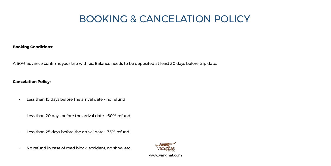# BOOKING & CANCELATION POLICY

#### **Booking Conditions:**

A 50% advance confirms your trip with us. Balance needs to be deposited at least 30 days before trip date.

#### **Cancelation Policy:**

- Less than 15 days before the arrival date no refund
- Less than 20 days before the arrival date 60% refund
- Less than 25 days before the arrival date 75% refund
- No refund in case of road block, accident, no show etc.

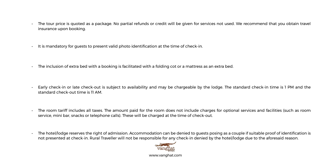- The tour price is quoted as a package. No partial refunds or credit will be given for services not used. We recommend that you obtain travel insurance upon booking.
- It is mandatory for guests to present valid photo identification at the time of check-in.
- The inclusion of extra bed with a booking is facilitated with a folding cot or a mattress as an extra bed.
- Early check-in or late check-out is subject to availability and may be chargeable by the lodge. The standard check-in time is 1 PM and the standard check-out time is 11 AM.
- The room tariff includes all taxes. The amount paid for the room does not include charges for optional services and facilities (such as room service, mini bar, snacks or telephone calls). These will be charged at the time of check-out.
- The hotel/lodge reserves the right of admission. Accommodation can be denied to guests posing as a couple if suitable proof of identification is not presented at check-in. Rural Traveller will not be responsible for any check-in denied by the hotel/lodge due to the aforesaid reason.



www.vanghat.com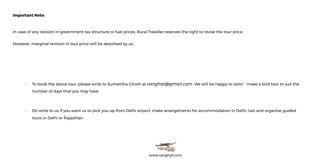#### **Important Note:**

In case of any revision in government tax structure or fuel prices, Rural Traveller reserves the right to revise the tour price.

However, marginal revision in tour price will be absorbed by us.

- To book the above tour, please write to Sumantha Ghosh at *vanghat@gmail.com.* We will be happy to tailor make a bird tour to suit the number of days that you may have.
- Do write to us if you want us to pick you up from Delhi airport, make arrangements for accommodation in Delhi, taxi and organize guided tours in Delhi or Rajasthan.

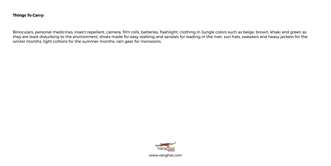#### **Things To Carry:**

Binoculars, personal medicines, insect repellent, camera, film rolls, batteries, flashlight, clothing in Jungle colors such as beige, brown, khaki and green as they are least disturbing to the environment, shoes made for easy walking and sandals for wading in the river, sun hats, sweaters and heavy jackets for the winter months, light cottons for the summer months, rain gear for monsoons.

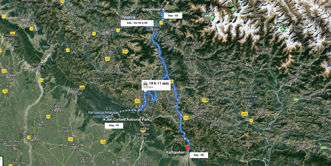